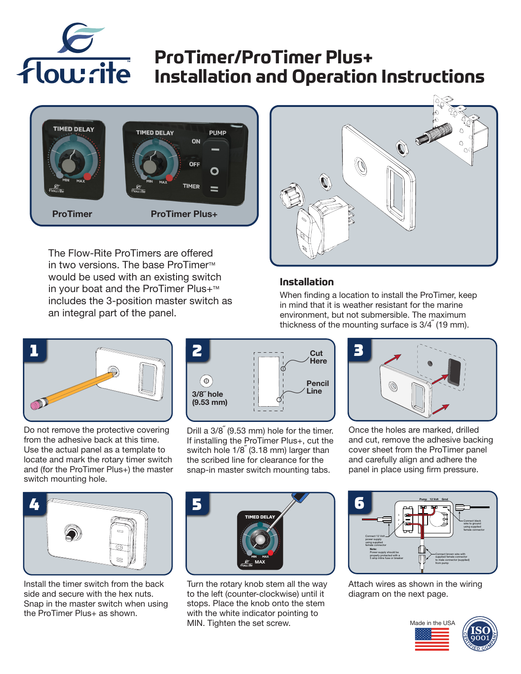

# **ProTimer/ProTimer Plus+ Installation and Operation Instructions**



The Flow-Rite ProTimers are offered in two versions. The base ProTimer™ would be used with an existing switch in your boat and the ProTimer Plus+™ includes the 3-position master switch as an integral part of the panel.



#### **Installation**

When finding a location to install the ProTimer, keep in mind that it is weather resistant for the marine environment, but not submersible. The maximum thickness of the mounting surface is  $3/4\degree$  (19 mm).



Do not remove the protective covering from the adhesive back at this time. Use the actual panel as a template to locate and mark the rotary timer switch and (for the ProTimer Plus+) the master switch mounting hole.



Drill a  $3/8^{''}$  (9.53 mm) hole for the timer. If installing the ProTimer Plus+, cut the switch hole  $1/8$ <sup>"</sup> (3.18 mm) larger than the scribed line for clearance for the snap-in master switch mounting tabs.



Once the holes are marked, drilled and cut, remove the adhesive backing cover sheet from the ProTimer panel and carefully align and adhere the panel in place using firm pressure.



Install the timer switch from the back side and secure with the hex nuts. Snap in the master switch when using the ProTimer Plus+ as shown.



Turn the rotary knob stem all the way to the left (counter-clockwise) until it stops. Place the knob onto the stem with the white indicator pointing to MIN. Tighten the set screw.



Attach wires as shown in the wiring diagram on the next page.